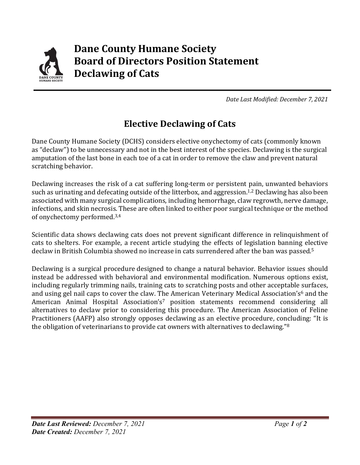

*Date Last Modified: December 7, 2021*

## **Elective Declawing of Cats**

Dane County Humane Society (DCHS) considers elective onychectomy of cats (commonly known as "declaw") to be unnecessary and not in the best interest of the species. Declawing is the surgical amputation of the last bone in each toe of a cat in order to remove the claw and prevent natural scratching behavior.

Declawing increases the risk of a cat suffering long-term or persistent pain, unwanted behaviors such as urinating and defecating outside of the litterbox, and aggression.<sup>1,2</sup> Declawing has also been associated with many surgical complications, including hemorrhage, claw regrowth, nerve damage, infections, and skin necrosis. These are often linked to either poor surgical technique or the method of onychectomy performed. 3,4

Scientific data shows declawing cats does not prevent significant difference in relinquishment of cats to shelters. For example, a recent article studying the effects of legislation banning elective declaw in British Columbia showed no increase in cats surrendered after the ban was passed. 5

Declawing is a surgical procedure designed to change a natural behavior. Behavior issues should instead be addressed with behavioral and environmental modification. Numerous options exist, including regularly trimming nails, training cats to scratching posts and other acceptable surfaces, and using gel nail caps to cover the claw. The American Veterinary Medical Association's<sup>6</sup> and the American Animal Hospital Association's<sup>7</sup> position statements recommend considering all alternatives to declaw prior to considering this procedure. The American Association of Feline Practitioners (AAFP) also strongly opposes declawing as an elective procedure, concluding: "It is the obligation of veterinarians to provide cat owners with alternatives to declawing."8